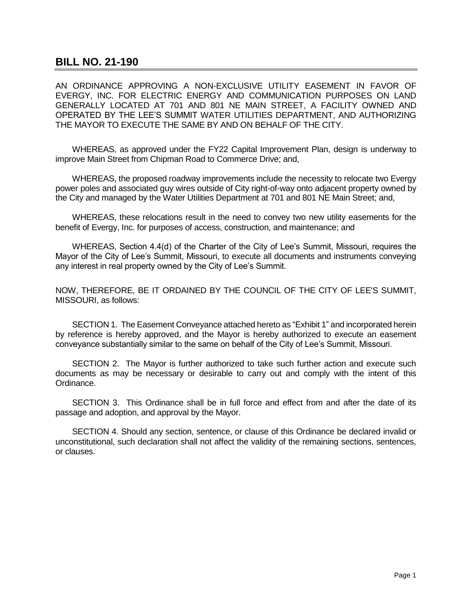## **BILL NO. 21-190**

AN ORDINANCE APPROVING A NON-EXCLUSIVE UTILITY EASEMENT IN FAVOR OF EVERGY, INC. FOR ELECTRIC ENERGY AND COMMUNICATION PURPOSES ON LAND GENERALLY LOCATED AT 701 AND 801 NE MAIN STREET, A FACILITY OWNED AND OPERATED BY THE LEE'S SUMMIT WATER UTILITIES DEPARTMENT, AND AUTHORIZING THE MAYOR TO EXECUTE THE SAME BY AND ON BEHALF OF THE CITY.

WHEREAS, as approved under the FY22 Capital Improvement Plan, design is underway to improve Main Street from Chipman Road to Commerce Drive; and,

WHEREAS, the proposed roadway improvements include the necessity to relocate two Evergy power poles and associated guy wires outside of City right-of-way onto adjacent property owned by the City and managed by the Water Utilities Department at 701 and 801 NE Main Street; and,

WHEREAS, these relocations result in the need to convey two new utility easements for the benefit of Evergy, Inc. for purposes of access, construction, and maintenance; and

WHEREAS, Section 4.4(d) of the Charter of the City of Lee's Summit, Missouri, requires the Mayor of the City of Lee's Summit, Missouri, to execute all documents and instruments conveying any interest in real property owned by the City of Lee's Summit.

NOW, THEREFORE, BE IT ORDAINED BY THE COUNCIL OF THE CITY OF LEE'S SUMMIT, MISSOURI, as follows:

SECTION 1. The Easement Conveyance attached hereto as "Exhibit 1" and incorporated herein by reference is hereby approved, and the Mayor is hereby authorized to execute an easement conveyance substantially similar to the same on behalf of the City of Lee's Summit, Missouri.

SECTION 2. The Mayor is further authorized to take such further action and execute such documents as may be necessary or desirable to carry out and comply with the intent of this Ordinance.

SECTION 3. This Ordinance shall be in full force and effect from and after the date of its passage and adoption, and approval by the Mayor.

SECTION 4. Should any section, sentence, or clause of this Ordinance be declared invalid or unconstitutional, such declaration shall not affect the validity of the remaining sections, sentences, or clauses.